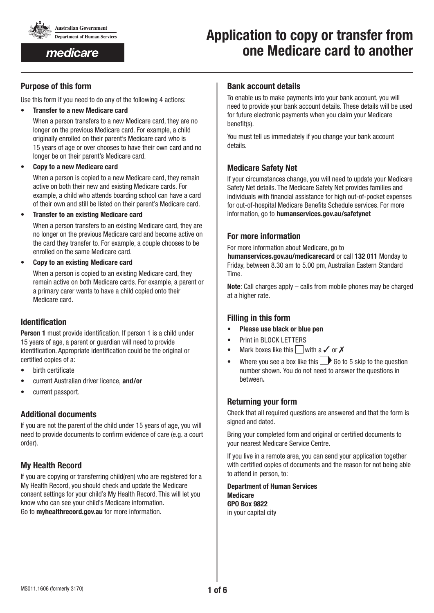

medicare

# **Application to copy or transfer from one Medicare card to another**

### **Purpose of this form**

Use this form if you need to do any of the following 4 actions:

• **Transfer to a new Medicare card**

When a person transfers to a new Medicare card, they are no longer on the previous Medicare card. For example, a child originally enrolled on their parent's Medicare card who is 15 years of age or over chooses to have their own card and no longer be on their parent's Medicare card.

• **Copy to a new Medicare card**

When a person is copied to a new Medicare card, they remain active on both their new and existing Medicare cards. For example, a child who attends boarding school can have a card of their own and still be listed on their parent's Medicare card.

• **Transfer to an existing Medicare card**

When a person transfers to an existing Medicare card, they are no longer on the previous Medicare card and become active on the card they transfer to. For example, a couple chooses to be enrolled on the same Medicare card.

• **Copy to an existing Medicare card**

When a person is copied to an existing Medicare card, they remain active on both Medicare cards. For example, a parent or a primary carer wants to have a child copied onto their Medicare card.

## **Identification**

**Person 1** must provide identification. If person 1 is a child under 15 years of age, a parent or guardian will need to provide identification. Appropriate identification could be the original or certified copies of a:

- birth certificate
- current Australian driver licence, **and/or**
- current passport.

## **Additional documents**

If you are not the parent of the child under 15 years of age, you will need to provide documents to confirm evidence of care (e.g. a court order).

## **My Health Record**

If you are copying or transferring child(ren) who are registered for a My Health Record, you should check and update the Medicare consent settings for your child's My Health Record. This will let you know who can see your child's Medicare information. Go to **[myhealthrecord.gov.au](http://myhealthrecord.gov.au)** for more information.

### **Bank account details**

To enable us to make payments into your bank account, you will need to provide your bank account details. These details will be used for future electronic payments when you claim your Medicare benefit(s).

You must tell us immediately if you change your bank account details.

## **Medicare Safety Net**

If your circumstances change, you will need to update your Medicare Safety Net details. The Medicare Safety Net provides families and individuals with financial assistance for high out-of-pocket expenses for out-of-hospital Medicare Benefits Schedule services. For more information, go to **humanservices.gov.au/safetynet** 

## **For more information**

For more information about Medicare, go to

humanservices.gov.au/medicarecard or call 132 011 Monday to Friday, between 8.30 am to 5.00 pm, Australian Eastern Standard Time.

**Note**: Call charges apply – calls from mobile phones may be charged at a higher rate.

## **Filling in this form**

- **Please use black or blue pen**
- Print in BLOCK LETTERS
- Mark boxes like this with a  $\checkmark$  or  $\checkmark$
- Where you see a box like this  $\Box$  Go to 5 skip to the question number shown. You do not need to answer the questions in between**.**

## **Returning your form**

Check that all required questions are answered and that the form is signed and dated.

Bring your completed form and original or certified documents to your nearest Medicare Service Centre.

If you live in a remote area, you can send your application together with certified copies of documents and the reason for not being able to attend in person, to:

**Department of Human Services Medicare GPO Box 9822** in your capital city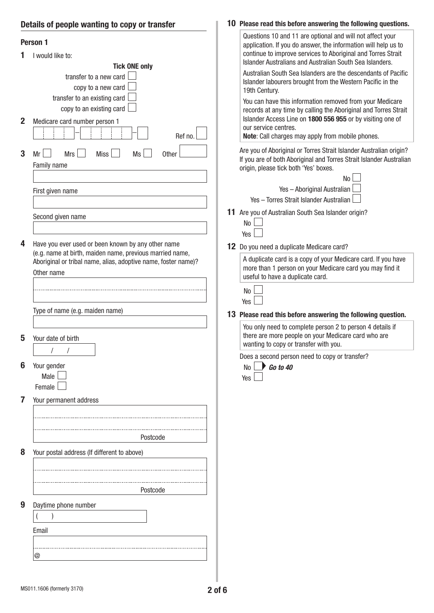## **Details of people wanting to copy or transfer**

|   | $\sim$ and $\sim$ poople wallung to oopy of the                                                                                                                                                              |                                                                                                                                                                                                                                                                                                                                                                                                                                                                                                                                                                                                                                                                                  |
|---|--------------------------------------------------------------------------------------------------------------------------------------------------------------------------------------------------------------|----------------------------------------------------------------------------------------------------------------------------------------------------------------------------------------------------------------------------------------------------------------------------------------------------------------------------------------------------------------------------------------------------------------------------------------------------------------------------------------------------------------------------------------------------------------------------------------------------------------------------------------------------------------------------------|
| 2 | Person 1<br>I would like to:<br><b>Tick ONE only</b><br>transfer to a new card<br>copy to a new card<br>transfer to an existing card<br>copy to an existing card<br>Medicare card number person 1<br>Ref no. | Questions 10 and 11 are optional and will not affect your<br>application. If you do answer, the information will help us to<br>continue to improve services to Aboriginal and Torres Strait<br>Islander Australians and Australian South Sea Islanders.<br>Australian South Sea Islanders are the descendants of Pacific<br>Islander labourers brought from the Western Pacific in the<br>19th Century.<br>You can have this information removed from your Medicare<br>records at any time by calling the Aboriginal and Torres Strait<br>Islander Access Line on 1800 556 955 or by visiting one of<br>our service centres.<br>Note: Call charges may apply from mobile phones. |
| 3 | <b>Mrs</b><br><b>Miss</b><br>Ms<br>Other<br>Mr<br>Family name<br>First given name<br>Second given name                                                                                                       | Are you of Aboriginal or Torres Strait Islander Australian origin?<br>If you are of both Aboriginal and Torres Strait Islander Australian<br>origin, please tick both 'Yes' boxes.<br>No<br>Yes - Aboriginal Australian<br>Yes - Torres Strait Islander Australian<br>11 Are you of Australian South Sea Islander origin?                                                                                                                                                                                                                                                                                                                                                        |
| 4 | Have you ever used or been known by any other name<br>(e.g. name at birth, maiden name, previous married name,<br>Aboriginal or tribal name, alias, adoptive name, foster name)?<br>Other name               | No<br>Yes<br>12 Do you need a duplicate Medicare card?<br>A duplicate card is a copy of your Medicare card. If you have<br>more than 1 person on your Medicare card you may find it<br>useful to have a duplicate card.                                                                                                                                                                                                                                                                                                                                                                                                                                                          |
|   | Type of name (e.g. maiden name)                                                                                                                                                                              | No<br>Yes<br>13 Please read this before answering the following question.<br>You only need to complete person 2 to person 4 details if                                                                                                                                                                                                                                                                                                                                                                                                                                                                                                                                           |
| 5 | Your date of birth                                                                                                                                                                                           | there are more people on your Medicare card who are<br>wanting to copy or transfer with you.                                                                                                                                                                                                                                                                                                                                                                                                                                                                                                                                                                                     |
|   | Your gender<br>Male L<br>Female                                                                                                                                                                              | Does a second person need to copy or transfer?<br>$\rightarrow$ Go to 40<br>No<br>Yes                                                                                                                                                                                                                                                                                                                                                                                                                                                                                                                                                                                            |
| 7 | Your permanent address                                                                                                                                                                                       |                                                                                                                                                                                                                                                                                                                                                                                                                                                                                                                                                                                                                                                                                  |
|   | Postcode                                                                                                                                                                                                     |                                                                                                                                                                                                                                                                                                                                                                                                                                                                                                                                                                                                                                                                                  |
| 8 | Your postal address (If different to above)<br>Postcode                                                                                                                                                      |                                                                                                                                                                                                                                                                                                                                                                                                                                                                                                                                                                                                                                                                                  |
| 9 | Daytime phone number<br>Email                                                                                                                                                                                |                                                                                                                                                                                                                                                                                                                                                                                                                                                                                                                                                                                                                                                                                  |

### **10 Please read this before answering the following questions.**

П

 $|_{@}$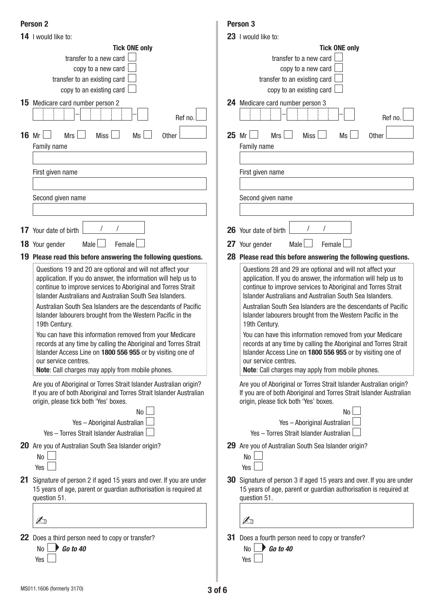### **Person 2**

|              | 14 I would like to:                                                                                                                                                                                                                                                                                                                                                                                                                                                                                                                                                                                                                                                              |       | 23 I would like to:                                                                                                                                                                                                                                                                                                                                                                                                                                                                                                                                                                                                                                                              |
|--------------|----------------------------------------------------------------------------------------------------------------------------------------------------------------------------------------------------------------------------------------------------------------------------------------------------------------------------------------------------------------------------------------------------------------------------------------------------------------------------------------------------------------------------------------------------------------------------------------------------------------------------------------------------------------------------------|-------|----------------------------------------------------------------------------------------------------------------------------------------------------------------------------------------------------------------------------------------------------------------------------------------------------------------------------------------------------------------------------------------------------------------------------------------------------------------------------------------------------------------------------------------------------------------------------------------------------------------------------------------------------------------------------------|
|              | <b>Tick ONE only</b>                                                                                                                                                                                                                                                                                                                                                                                                                                                                                                                                                                                                                                                             |       | <b>Tick ONE only</b>                                                                                                                                                                                                                                                                                                                                                                                                                                                                                                                                                                                                                                                             |
|              | transfer to a new card                                                                                                                                                                                                                                                                                                                                                                                                                                                                                                                                                                                                                                                           |       | transfer to a new card                                                                                                                                                                                                                                                                                                                                                                                                                                                                                                                                                                                                                                                           |
|              | copy to a new card                                                                                                                                                                                                                                                                                                                                                                                                                                                                                                                                                                                                                                                               |       | copy to a new card                                                                                                                                                                                                                                                                                                                                                                                                                                                                                                                                                                                                                                                               |
|              | transfer to an existing card                                                                                                                                                                                                                                                                                                                                                                                                                                                                                                                                                                                                                                                     |       | transfer to an existing card                                                                                                                                                                                                                                                                                                                                                                                                                                                                                                                                                                                                                                                     |
|              | copy to an existing card                                                                                                                                                                                                                                                                                                                                                                                                                                                                                                                                                                                                                                                         |       | copy to an existing card                                                                                                                                                                                                                                                                                                                                                                                                                                                                                                                                                                                                                                                         |
|              | <b>15</b> Medicare card number person 2<br>Ref no.                                                                                                                                                                                                                                                                                                                                                                                                                                                                                                                                                                                                                               |       | 24 Medicare card number person 3<br>Ref no.                                                                                                                                                                                                                                                                                                                                                                                                                                                                                                                                                                                                                                      |
| <b>16 Mr</b> | <b>Miss</b><br><b>Mrs</b><br>Ms<br>Other<br>Family name                                                                                                                                                                                                                                                                                                                                                                                                                                                                                                                                                                                                                          | 25 Mr | <b>Mrs</b><br><b>Miss</b><br><b>Ms</b><br><b>Other</b><br>Family name                                                                                                                                                                                                                                                                                                                                                                                                                                                                                                                                                                                                            |
|              |                                                                                                                                                                                                                                                                                                                                                                                                                                                                                                                                                                                                                                                                                  |       |                                                                                                                                                                                                                                                                                                                                                                                                                                                                                                                                                                                                                                                                                  |
|              | First given name                                                                                                                                                                                                                                                                                                                                                                                                                                                                                                                                                                                                                                                                 |       | First given name                                                                                                                                                                                                                                                                                                                                                                                                                                                                                                                                                                                                                                                                 |
|              | Second given name                                                                                                                                                                                                                                                                                                                                                                                                                                                                                                                                                                                                                                                                |       | Second given name                                                                                                                                                                                                                                                                                                                                                                                                                                                                                                                                                                                                                                                                |
|              |                                                                                                                                                                                                                                                                                                                                                                                                                                                                                                                                                                                                                                                                                  |       |                                                                                                                                                                                                                                                                                                                                                                                                                                                                                                                                                                                                                                                                                  |
|              | <b>17</b> Your date of birth                                                                                                                                                                                                                                                                                                                                                                                                                                                                                                                                                                                                                                                     |       | 26 Your date of birth                                                                                                                                                                                                                                                                                                                                                                                                                                                                                                                                                                                                                                                            |
|              | 18 Your gender<br>Male  <br>Female                                                                                                                                                                                                                                                                                                                                                                                                                                                                                                                                                                                                                                               |       | 27 Your gender<br>Male<br>Female                                                                                                                                                                                                                                                                                                                                                                                                                                                                                                                                                                                                                                                 |
|              | 19 Please read this before answering the following questions.                                                                                                                                                                                                                                                                                                                                                                                                                                                                                                                                                                                                                    |       | 28 Please read this before answering the following questions.                                                                                                                                                                                                                                                                                                                                                                                                                                                                                                                                                                                                                    |
|              | Questions 19 and 20 are optional and will not affect your<br>application. If you do answer, the information will help us to<br>continue to improve services to Aboriginal and Torres Strait<br>Islander Australians and Australian South Sea Islanders.<br>Australian South Sea Islanders are the descendants of Pacific<br>Islander labourers brought from the Western Pacific in the<br>19th Century.<br>You can have this information removed from your Medicare<br>records at any time by calling the Aboriginal and Torres Strait<br>Islander Access Line on 1800 556 955 or by visiting one of<br>our service centres.<br>Note: Call charges may apply from mobile phones. |       | Questions 28 and 29 are optional and will not affect your<br>application. If you do answer, the information will help us to<br>continue to improve services to Aboriginal and Torres Strait<br>Islander Australians and Australian South Sea Islanders.<br>Australian South Sea Islanders are the descendants of Pacific<br>Islander labourers brought from the Western Pacific in the<br>19th Century.<br>You can have this information removed from your Medicare<br>records at any time by calling the Aboriginal and Torres Strait<br>Islander Access Line on 1800 556 955 or by visiting one of<br>our service centres.<br>Note: Call charges may apply from mobile phones. |
|              | Are you of Aboriginal or Torres Strait Islander Australian origin?<br>If you are of both Aboriginal and Torres Strait Islander Australian<br>origin, please tick both 'Yes' boxes.<br><b>No</b>                                                                                                                                                                                                                                                                                                                                                                                                                                                                                  |       | Are you of Aboriginal or Torres Strait Islander Australian origin?<br>If you are of both Aboriginal and Torres Strait Islander Australian<br>origin, please tick both 'Yes' boxes.<br>No                                                                                                                                                                                                                                                                                                                                                                                                                                                                                         |
|              | Yes - Aboriginal Australian                                                                                                                                                                                                                                                                                                                                                                                                                                                                                                                                                                                                                                                      |       | Yes - Aboriginal Australian                                                                                                                                                                                                                                                                                                                                                                                                                                                                                                                                                                                                                                                      |
|              | Yes - Torres Strait Islander Australian                                                                                                                                                                                                                                                                                                                                                                                                                                                                                                                                                                                                                                          |       | Yes - Torres Strait Islander Australian                                                                                                                                                                                                                                                                                                                                                                                                                                                                                                                                                                                                                                          |
|              | 20 Are you of Australian South Sea Islander origin?<br>No<br>Yes                                                                                                                                                                                                                                                                                                                                                                                                                                                                                                                                                                                                                 |       | 29 Are you of Australian South Sea Islander origin?<br>No<br>Yes                                                                                                                                                                                                                                                                                                                                                                                                                                                                                                                                                                                                                 |
|              | 21 Signature of person 2 if aged 15 years and over. If you are under<br>15 years of age, parent or guardian authorisation is required at<br>question 51.                                                                                                                                                                                                                                                                                                                                                                                                                                                                                                                         |       | <b>30</b> Signature of person 3 if aged 15 years and over. If you are under<br>15 years of age, parent or guardian authorisation is required at<br>question 51.                                                                                                                                                                                                                                                                                                                                                                                                                                                                                                                  |
|              | $\mathbb{Z}_0$                                                                                                                                                                                                                                                                                                                                                                                                                                                                                                                                                                                                                                                                   |       | A                                                                                                                                                                                                                                                                                                                                                                                                                                                                                                                                                                                                                                                                                |
|              | <b>22</b> Does a third person need to copy or transfer?<br>$\bigtriangledown$ Go to 40<br>No<br>Yes                                                                                                                                                                                                                                                                                                                                                                                                                                                                                                                                                                              | 31    | Does a fourth person need to copy or transfer?<br>$\bigtriangledown$ Go to 40<br>No<br>Yes                                                                                                                                                                                                                                                                                                                                                                                                                                                                                                                                                                                       |

**Person 3**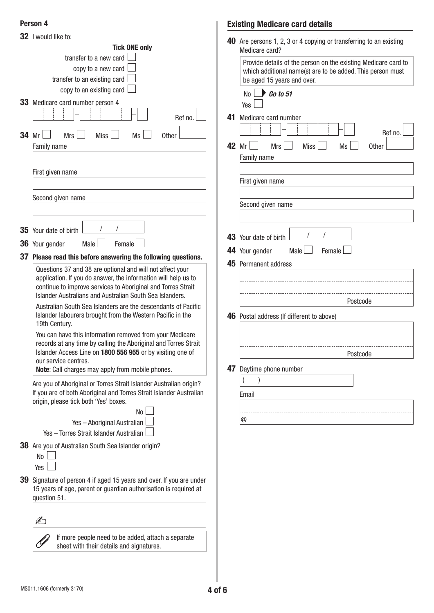## **Person 4**

|    | 32 I would like to:                                                                                                                                                                                                                                                                                                                        |  |  |  |
|----|--------------------------------------------------------------------------------------------------------------------------------------------------------------------------------------------------------------------------------------------------------------------------------------------------------------------------------------------|--|--|--|
|    | <b>Tick ONE only</b>                                                                                                                                                                                                                                                                                                                       |  |  |  |
|    | transfer to a new card $\parallel$                                                                                                                                                                                                                                                                                                         |  |  |  |
|    | copy to a new card                                                                                                                                                                                                                                                                                                                         |  |  |  |
|    | transfer to an existing card                                                                                                                                                                                                                                                                                                               |  |  |  |
|    | copy to an existing card                                                                                                                                                                                                                                                                                                                   |  |  |  |
|    | 33 Medicare card number person 4                                                                                                                                                                                                                                                                                                           |  |  |  |
|    | Ref no.                                                                                                                                                                                                                                                                                                                                    |  |  |  |
|    | $34$ Mr $\vert$ $\vert$<br>Mrs<br>Miss  <br>Ms<br><b>Other</b>                                                                                                                                                                                                                                                                             |  |  |  |
|    | <b>Family name</b>                                                                                                                                                                                                                                                                                                                         |  |  |  |
|    |                                                                                                                                                                                                                                                                                                                                            |  |  |  |
|    | First given name                                                                                                                                                                                                                                                                                                                           |  |  |  |
|    |                                                                                                                                                                                                                                                                                                                                            |  |  |  |
|    | Second given name                                                                                                                                                                                                                                                                                                                          |  |  |  |
|    |                                                                                                                                                                                                                                                                                                                                            |  |  |  |
|    |                                                                                                                                                                                                                                                                                                                                            |  |  |  |
|    | 7<br>$\prime$<br><b>35</b> Your date of birth                                                                                                                                                                                                                                                                                              |  |  |  |
|    | Female<br>Male $\Box$<br><b>36</b> Your gender                                                                                                                                                                                                                                                                                             |  |  |  |
|    | 37 Please read this before answering the following questions.                                                                                                                                                                                                                                                                              |  |  |  |
|    | application. If you do answer, the information will help us to<br>continue to improve services to Aboriginal and Torres Strait<br>Islander Australians and Australian South Sea Islanders.<br>Australian South Sea Islanders are the descendants of Pacific<br>Islander labourers brought from the Western Pacific in the<br>19th Century. |  |  |  |
|    | You can have this information removed from your Medicare<br>records at any time by calling the Aboriginal and Torres Strait<br>Islander Access Line on 1800 556 955 or by visiting one of<br>our service centres.<br>Note: Call charges may apply from mobile phones.                                                                      |  |  |  |
|    | Are you of Aboriginal or Torres Strait Islander Australian origin?<br>If you are of both Aboriginal and Torres Strait Islander Australian<br>origin, please tick both 'Yes' boxes.                                                                                                                                                         |  |  |  |
|    | No<br>Yes - Aboriginal Australian                                                                                                                                                                                                                                                                                                          |  |  |  |
|    | Yes - Torres Strait Islander Australian                                                                                                                                                                                                                                                                                                    |  |  |  |
|    | <b>38</b> Are you of Australian South Sea Islander origin?<br>No<br>Yes                                                                                                                                                                                                                                                                    |  |  |  |
| 39 |                                                                                                                                                                                                                                                                                                                                            |  |  |  |
|    | Signature of person 4 if aged 15 years and over. If you are under<br>15 years of age, parent or guardian authorisation is required at<br>question 51.                                                                                                                                                                                      |  |  |  |
|    |                                                                                                                                                                                                                                                                                                                                            |  |  |  |
|    |                                                                                                                                                                                                                                                                                                                                            |  |  |  |
|    | If more people need to be added, attach a separate<br>sheet with their details and signatures.                                                                                                                                                                                                                                             |  |  |  |

## **Existing Medicare card details**

|       | 40 Are persons 1, 2, 3 or 4 copying or transferring to an existing<br>Medicare card?                                                                       |  |  |
|-------|------------------------------------------------------------------------------------------------------------------------------------------------------------|--|--|
|       | Provide details of the person on the existing Medicare card to<br>which additional name(s) are to be added. This person must<br>be aged 15 years and over. |  |  |
|       | $\bigcup$ Go to 51<br><b>No</b><br>Yes                                                                                                                     |  |  |
| 41    | Medicare card number<br>Ref no.                                                                                                                            |  |  |
| 42 Mr | <b>Mrs</b><br><b>Ms</b><br><b>Miss</b><br><b>Other</b><br>Family name                                                                                      |  |  |
|       |                                                                                                                                                            |  |  |
|       | First given name                                                                                                                                           |  |  |
|       | Second given name                                                                                                                                          |  |  |
|       |                                                                                                                                                            |  |  |
|       | $\sqrt{2}$<br>43 Your date of birth                                                                                                                        |  |  |
|       | Male<br>Female<br>44 Your gender                                                                                                                           |  |  |
|       | 45 Permanent address                                                                                                                                       |  |  |
|       |                                                                                                                                                            |  |  |
|       |                                                                                                                                                            |  |  |
|       | Postcode                                                                                                                                                   |  |  |
|       | 46 Postal address (If different to above)                                                                                                                  |  |  |
|       |                                                                                                                                                            |  |  |
|       |                                                                                                                                                            |  |  |
|       | Postcode                                                                                                                                                   |  |  |
|       | 47 Daytime phone number                                                                                                                                    |  |  |
|       |                                                                                                                                                            |  |  |
|       | Email                                                                                                                                                      |  |  |
|       |                                                                                                                                                            |  |  |
|       | @                                                                                                                                                          |  |  |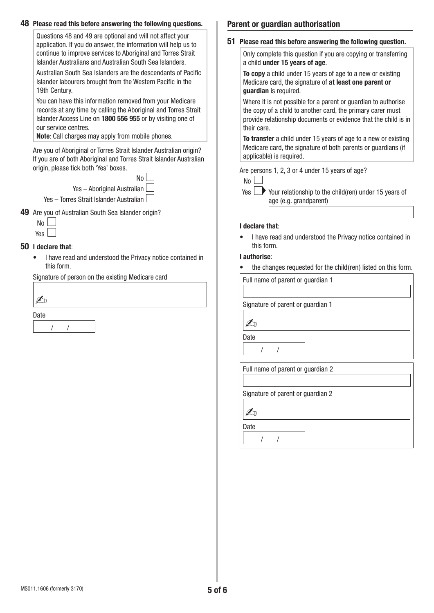| Questions 48 and 49 are optional and will not affect your<br>application. If you do answer, the information will help us to                                                                                       | 51 Please read this before answering the following question.                                                                                                                                                    |  |  |
|-------------------------------------------------------------------------------------------------------------------------------------------------------------------------------------------------------------------|-----------------------------------------------------------------------------------------------------------------------------------------------------------------------------------------------------------------|--|--|
| continue to improve services to Aboriginal and Torres Strait<br>Islander Australians and Australian South Sea Islanders.                                                                                          | Only complete this question if you are copying or transferring<br>a child under 15 years of age.                                                                                                                |  |  |
| Australian South Sea Islanders are the descendants of Pacific<br>Islander labourers brought from the Western Pacific in the<br>19th Century.                                                                      | To copy a child under 15 years of age to a new or existing<br>Medicare card, the signature of at least one parent or<br>guardian is required.                                                                   |  |  |
| You can have this information removed from your Medicare<br>records at any time by calling the Aboriginal and Torres Strait<br>Islander Access Line on 1800 556 955 or by visiting one of<br>our service centres. | Where it is not possible for a parent or guardian to authorise<br>the copy of a child to another card, the primary carer must<br>provide relationship documents or evidence that the child is in<br>their care. |  |  |
| Note: Call charges may apply from mobile phones.<br>Are you of Aboriginal or Torres Strait Islander Australian origin?<br>If you are of both Aboriginal and Torres Strait Islander Australian                     | To transfer a child under 15 years of age to a new or existing<br>Medicare card, the signature of both parents or guardians (if<br>applicable) is required.                                                     |  |  |
| origin, please tick both 'Yes' boxes.<br>No<br>Yes - Aboriginal Australian                                                                                                                                        | Are persons 1, 2, 3 or 4 under 15 years of age?<br>No                                                                                                                                                           |  |  |
| Yes - Torres Strait Islander Australian                                                                                                                                                                           | Your relationship to the child(ren) under 15 years of<br>Yes<br>age (e.g. grandparent)                                                                                                                          |  |  |
| 49 Are you of Australian South Sea Islander origin?                                                                                                                                                               |                                                                                                                                                                                                                 |  |  |
| No<br>Yes                                                                                                                                                                                                         | I declare that:                                                                                                                                                                                                 |  |  |
| 50 I declare that:                                                                                                                                                                                                | I have read and understood the Privacy notice contained in<br>this form.                                                                                                                                        |  |  |
| I have read and understood the Privacy notice contained in<br>$\bullet$<br>this form.                                                                                                                             | I authorise:<br>the changes requested for the child(ren) listed on this form.                                                                                                                                   |  |  |
| Signature of person on the existing Medicare card                                                                                                                                                                 | Full name of parent or guardian 1                                                                                                                                                                               |  |  |
| $\mathbb{Z}_1$                                                                                                                                                                                                    | Signature of parent or guardian 1                                                                                                                                                                               |  |  |
| Date                                                                                                                                                                                                              | $\mathbb{Z}_0$                                                                                                                                                                                                  |  |  |
|                                                                                                                                                                                                                   | Date                                                                                                                                                                                                            |  |  |
|                                                                                                                                                                                                                   |                                                                                                                                                                                                                 |  |  |
|                                                                                                                                                                                                                   | Full name of parent or guardian 2                                                                                                                                                                               |  |  |
|                                                                                                                                                                                                                   |                                                                                                                                                                                                                 |  |  |
|                                                                                                                                                                                                                   | Signature of parent or guardian 2                                                                                                                                                                               |  |  |
|                                                                                                                                                                                                                   | $\mathbb{Z}_0$                                                                                                                                                                                                  |  |  |
|                                                                                                                                                                                                                   | Date                                                                                                                                                                                                            |  |  |
|                                                                                                                                                                                                                   |                                                                                                                                                                                                                 |  |  |